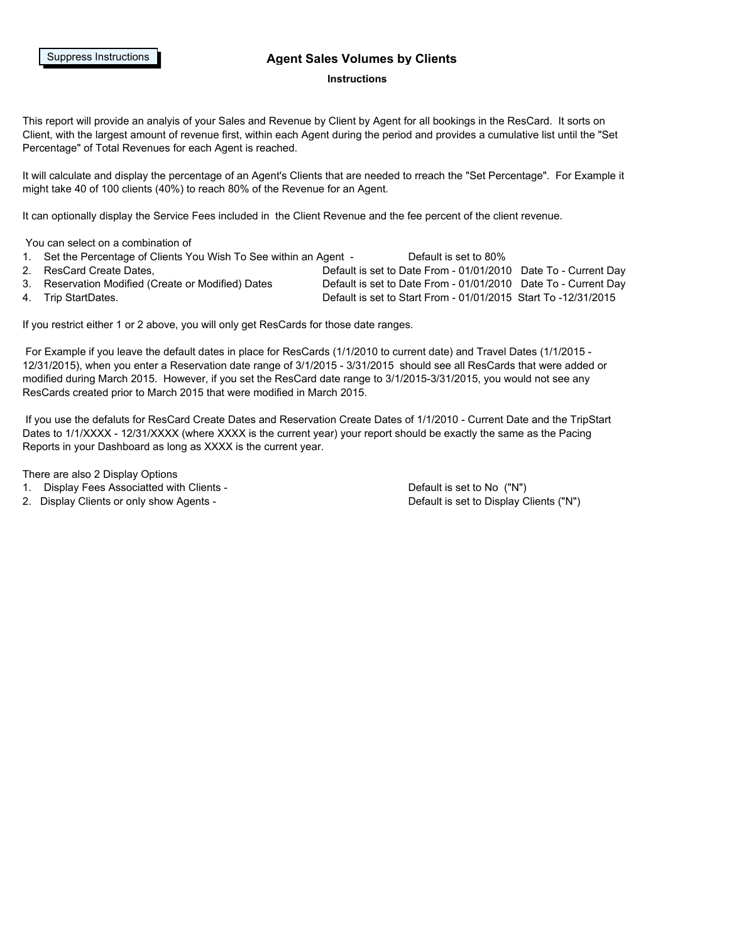#### Suppress Instructions **Telection States Volumes by Clients**

#### **Instructions**

This report will provide an analyis of your Sales and Revenue by Client by Agent for all bookings in the ResCard. It sorts on Client, with the largest amount of revenue first, within each Agent during the period and provides a cumulative list until the "Set Percentage" of Total Revenues for each Agent is reached.

It will calculate and display the percentage of an Agent's Clients that are needed to rreach the "Set Percentage". For Example it might take 40 of 100 clients (40%) to reach 80% of the Revenue for an Agent.

It can optionally display the Service Fees included in the Client Revenue and the fee percent of the client revenue.

You can select on a combination of

1. Set the Percentage of Clients You Wish To See within an Agent - Default is set to 80%

- 
- 

2. ResCard Create Dates, Default is set to Date From - 01/01/2010 Date To - Current Day 3. Reservation Modified (Create or Modified) Dates Default is set to Date From - 01/01/2010 Date To - Current Day 4. Trip StartDates. Default is set to Start From - 01/01/2015 Start To -12/31/2015

If you restrict either 1 or 2 above, you will only get ResCards for those date ranges.

 For Example if you leave the default dates in place for ResCards (1/1/2010 to current date) and Travel Dates (1/1/2015 - 12/31/2015), when you enter a Reservation date range of 3/1/2015 - 3/31/2015 should see all ResCards that were added or modified during March 2015. However, if you set the ResCard date range to 3/1/2015-3/31/2015, you would not see any ResCards created prior to March 2015 that were modified in March 2015.

 If you use the defaluts for ResCard Create Dates and Reservation Create Dates of 1/1/2010 - Current Date and the TripStart Dates to 1/1/XXXX - 12/31/XXXX (where XXXX is the current year) your report should be exactly the same as the Pacing Reports in your Dashboard as long as XXXX is the current year.

There are also 2 Display Options

- 1. Display Fees Associatted with Clients Default is set to No ("N")
- 2. Display Clients or only show Agents Default is set to Display Clients ("N")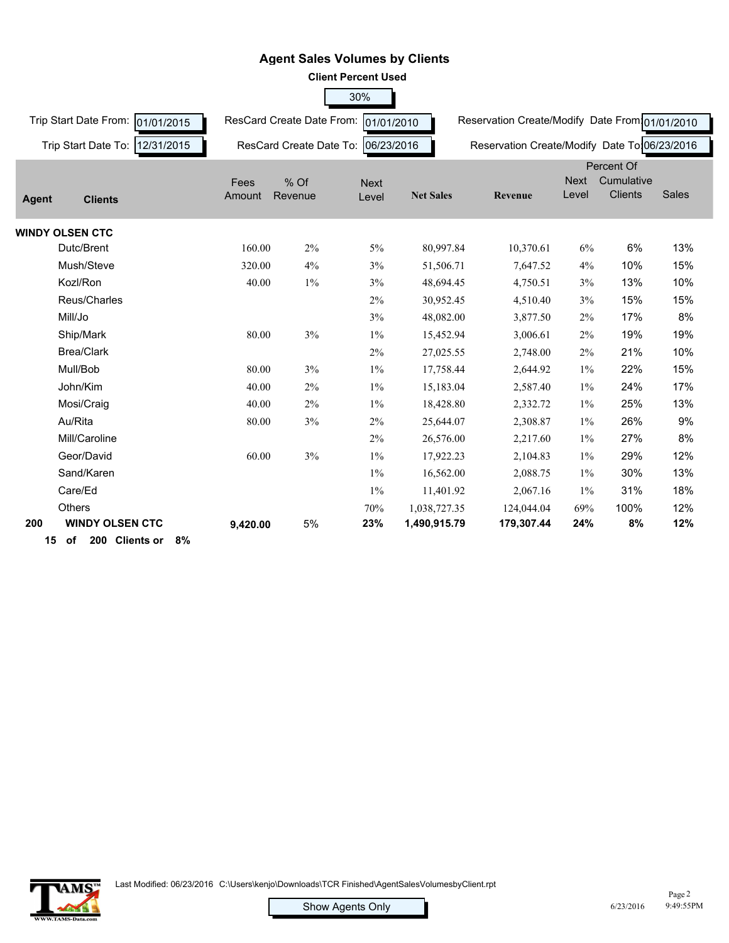|              | <b>Client Percent Used</b>          |                |                           |                      |                  |                                                |                      |                              |              |  |
|--------------|-------------------------------------|----------------|---------------------------|----------------------|------------------|------------------------------------------------|----------------------|------------------------------|--------------|--|
|              |                                     |                |                           | 30%                  |                  |                                                |                      |                              |              |  |
|              | Trip Start Date From:<br>01/01/2015 |                | ResCard Create Date From: | 01/01/2010           |                  | Reservation Create/Modify Date From 01/01/2010 |                      |                              |              |  |
|              | Trip Start Date To:<br>12/31/2015   |                | ResCard Create Date To:   | 06/23/2016           |                  | Reservation Create/Modify Date To 06/23/2016   |                      |                              |              |  |
|              |                                     |                |                           |                      |                  |                                                |                      | Percent Of                   |              |  |
| <b>Agent</b> | <b>Clients</b>                      | Fees<br>Amount | % Of<br>Revenue           | <b>Next</b><br>Level | <b>Net Sales</b> | Revenue                                        | <b>Next</b><br>Level | Cumulative<br><b>Clients</b> | <b>Sales</b> |  |
|              | <b>WINDY OLSEN CTC</b>              |                |                           |                      |                  |                                                |                      |                              |              |  |
|              | Dutc/Brent                          | 160.00         | 2%                        | 5%                   | 80,997.84        | 10,370.61                                      | 6%                   | 6%                           | 13%          |  |
|              | Mush/Steve                          | 320.00         | 4%                        | 3%                   | 51,506.71        | 7,647.52                                       | 4%                   | 10%                          | 15%          |  |
|              | Kozl/Ron                            | 40.00          | $1\%$                     | 3%                   | 48,694.45        | 4,750.51                                       | 3%                   | 13%                          | 10%          |  |
|              | Reus/Charles                        |                |                           | 2%                   | 30,952.45        | 4,510.40                                       | 3%                   | 15%                          | 15%          |  |
|              | Mill/Jo                             |                |                           | 3%                   | 48,082.00        | 3,877.50                                       | 2%                   | 17%                          | 8%           |  |
|              | Ship/Mark                           | 80.00          | 3%                        | $1\%$                | 15,452.94        | 3,006.61                                       | 2%                   | 19%                          | 19%          |  |
|              | <b>Brea/Clark</b>                   |                |                           | 2%                   | 27,025.55        | 2,748.00                                       | 2%                   | 21%                          | 10%          |  |
|              | Mull/Bob                            | 80.00          | 3%                        | $1\%$                | 17,758.44        | 2,644.92                                       | $1\%$                | 22%                          | 15%          |  |
|              | John/Kim                            | 40.00          | 2%                        | $1\%$                | 15,183.04        | 2,587.40                                       | $1\%$                | 24%                          | 17%          |  |
|              | Mosi/Craig                          | 40.00          | 2%                        | $1\%$                | 18,428.80        | 2,332.72                                       | $1\%$                | 25%                          | 13%          |  |
|              | Au/Rita                             | 80.00          | 3%                        | 2%                   | 25,644.07        | 2,308.87                                       | $1\%$                | 26%                          | 9%           |  |
|              | Mill/Caroline                       |                |                           | 2%                   | 26,576.00        | 2,217.60                                       | $1\%$                | 27%                          | 8%           |  |
|              | Geor/David                          | 60.00          | 3%                        | $1\%$                | 17,922.23        | 2,104.83                                       | $1\%$                | 29%                          | 12%          |  |
|              | Sand/Karen                          |                |                           | $1\%$                | 16,562.00        | 2,088.75                                       | $1\%$                | 30%                          | 13%          |  |
|              | Care/Ed                             |                |                           | $1\%$                | 11,401.92        | 2,067.16                                       | $1\%$                | 31%                          | 18%          |  |
|              | <b>Others</b>                       |                |                           | 70%                  | 1,038,727.35     | 124,044.04                                     | 69%                  | 100%                         | 12%          |  |
| 200          | <b>WINDY OLSEN CTC</b>              | 9,420.00       | 5%                        | 23%                  | 1,490,915.79     | 179,307.44                                     | 24%                  | 8%                           | 12%          |  |
| 15           | 200 Clients or<br>of<br>8%          |                |                           |                      |                  |                                                |                      |                              |              |  |

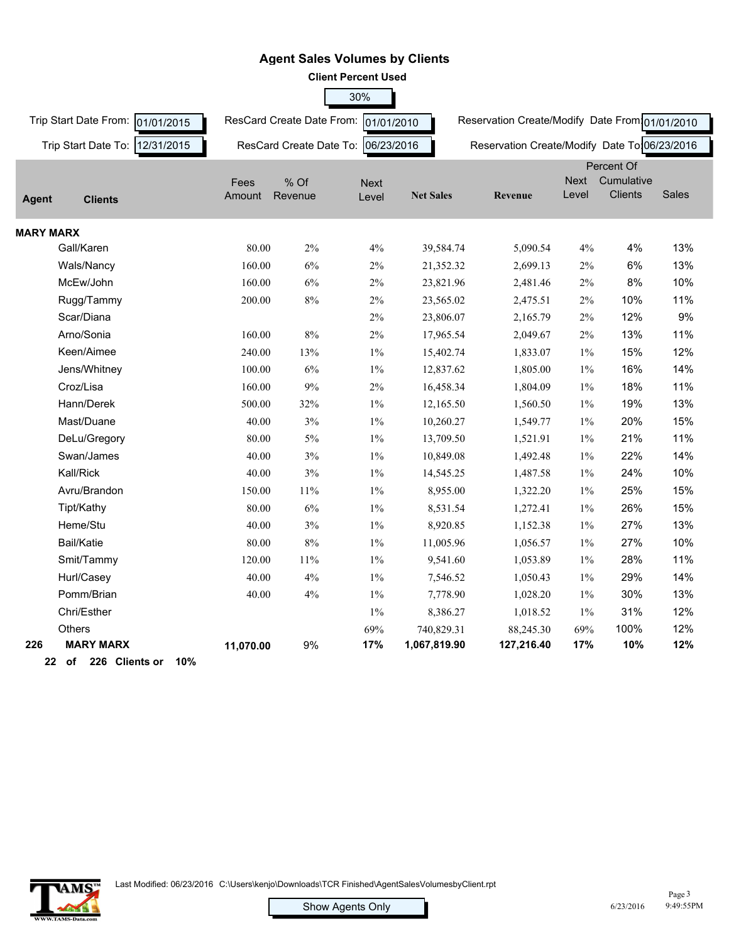|                  | <b>Client Percent Used</b>       |           |                                      |             |                  |                                                |             |                |              |  |
|------------------|----------------------------------|-----------|--------------------------------------|-------------|------------------|------------------------------------------------|-------------|----------------|--------------|--|
|                  |                                  |           |                                      | 30%         |                  |                                                |             |                |              |  |
|                  | Trip Start Date From: 01/01/2015 |           | ResCard Create Date From: 01/01/2010 |             |                  | Reservation Create/Modify Date From 01/01/2010 |             |                |              |  |
|                  | Trip Start Date To: 12/31/2015   |           | ResCard Create Date To:              | 06/23/2016  |                  | Reservation Create/Modify Date To 06/23/2016   |             |                |              |  |
|                  |                                  |           |                                      |             |                  |                                                |             | Percent Of     |              |  |
|                  |                                  | Fees      | % Of                                 | <b>Next</b> |                  |                                                | <b>Next</b> | Cumulative     |              |  |
| <b>Agent</b>     | <b>Clients</b>                   | Amount    | Revenue                              | Level       | <b>Net Sales</b> | Revenue                                        | Level       | <b>Clients</b> | <b>Sales</b> |  |
| <b>MARY MARX</b> |                                  |           |                                      |             |                  |                                                |             |                |              |  |
|                  | Gall/Karen                       | 80.00     | $2\%$                                | $4\%$       | 39,584.74        | 5,090.54                                       | 4%          | 4%             | 13%          |  |
|                  | Wals/Nancy                       | 160.00    | $6\%$                                | $2\%$       | 21,352.32        | 2,699.13                                       | 2%          | 6%             | 13%          |  |
|                  | McEw/John                        | 160.00    | 6%                                   | 2%          | 23,821.96        | 2,481.46                                       | 2%          | 8%             | 10%          |  |
|                  | Rugg/Tammy                       | 200.00    | $8\%$                                | 2%          | 23,565.02        | 2,475.51                                       | $2\%$       | 10%            | 11%          |  |
|                  | Scar/Diana                       |           |                                      | $2\%$       | 23,806.07        | 2,165.79                                       | $2\%$       | 12%            | 9%           |  |
|                  | Arno/Sonia                       | 160.00    | $8\%$                                | $2\%$       | 17,965.54        | 2,049.67                                       | 2%          | 13%            | 11%          |  |
|                  | Keen/Aimee                       | 240.00    | 13%                                  | $1\%$       | 15,402.74        | 1,833.07                                       | $1\%$       | 15%            | 12%          |  |
|                  | Jens/Whitney                     | 100.00    | $6\%$                                | $1\%$       | 12,837.62        | 1,805.00                                       | $1\%$       | 16%            | 14%          |  |
|                  | Croz/Lisa                        | 160.00    | $9\%$                                | $2\%$       | 16,458.34        | 1,804.09                                       | $1\%$       | 18%            | 11%          |  |
|                  | Hann/Derek                       | 500.00    | 32%                                  | $1\%$       | 12,165.50        | 1,560.50                                       | $1\%$       | 19%            | 13%          |  |
|                  | Mast/Duane                       | 40.00     | 3%                                   | $1\%$       | 10,260.27        | 1,549.77                                       | $1\%$       | 20%            | 15%          |  |
|                  | DeLu/Gregory                     | 80.00     | $5\%$                                | $1\%$       | 13,709.50        | 1,521.91                                       | $1\%$       | 21%            | 11%          |  |
|                  | Swan/James                       | 40.00     | 3%                                   | $1\%$       | 10,849.08        | 1,492.48                                       | $1\%$       | 22%            | 14%          |  |
|                  | Kall/Rick                        | 40.00     | $3\%$                                | $1\%$       | 14,545.25        | 1,487.58                                       | $1\%$       | 24%            | 10%          |  |
|                  | Avru/Brandon                     | 150.00    | 11%                                  | $1\%$       | 8,955.00         | 1,322.20                                       | $1\%$       | 25%            | 15%          |  |
|                  | Tipt/Kathy                       | 80.00     | $6\%$                                | $1\%$       | 8,531.54         | 1,272.41                                       | $1\%$       | 26%            | 15%          |  |
|                  | Heme/Stu                         | 40.00     | 3%                                   | $1\%$       | 8,920.85         | 1,152.38                                       | $1\%$       | 27%            | 13%          |  |
|                  | <b>Bail/Katie</b>                | 80.00     | $8\%$                                | $1\%$       | 11,005.96        | 1,056.57                                       | $1\%$       | 27%            | 10%          |  |
|                  | Smit/Tammy                       | 120.00    | 11%                                  | $1\%$       | 9,541.60         | 1,053.89                                       | $1\%$       | 28%            | 11%          |  |
|                  | Hurl/Casey                       | 40.00     | 4%                                   | $1\%$       | 7,546.52         | 1,050.43                                       | $1\%$       | 29%            | 14%          |  |
|                  | Pomm/Brian                       | 40.00     | 4%                                   | $1\%$       | 7,778.90         | 1,028.20                                       | $1\%$       | 30%            | 13%          |  |
|                  | Chri/Esther                      |           |                                      | $1\%$       | 8,386.27         | 1,018.52                                       | $1\%$       | 31%            | 12%          |  |
|                  | <b>Others</b>                    |           |                                      | 69%         | 740,829.31       | 88,245.30                                      | 69%         | 100%           | 12%          |  |
| 226              | <b>MARY MARX</b>                 | 11,070.00 | 9%                                   | 17%         | 1,067,819.90     | 127,216.40                                     | 17%         | 10%            | 12%          |  |
|                  | ົ<br>af 000 Oliante av<br>400/   |           |                                      |             |                  |                                                |             |                |              |  |





]<br>|<br>|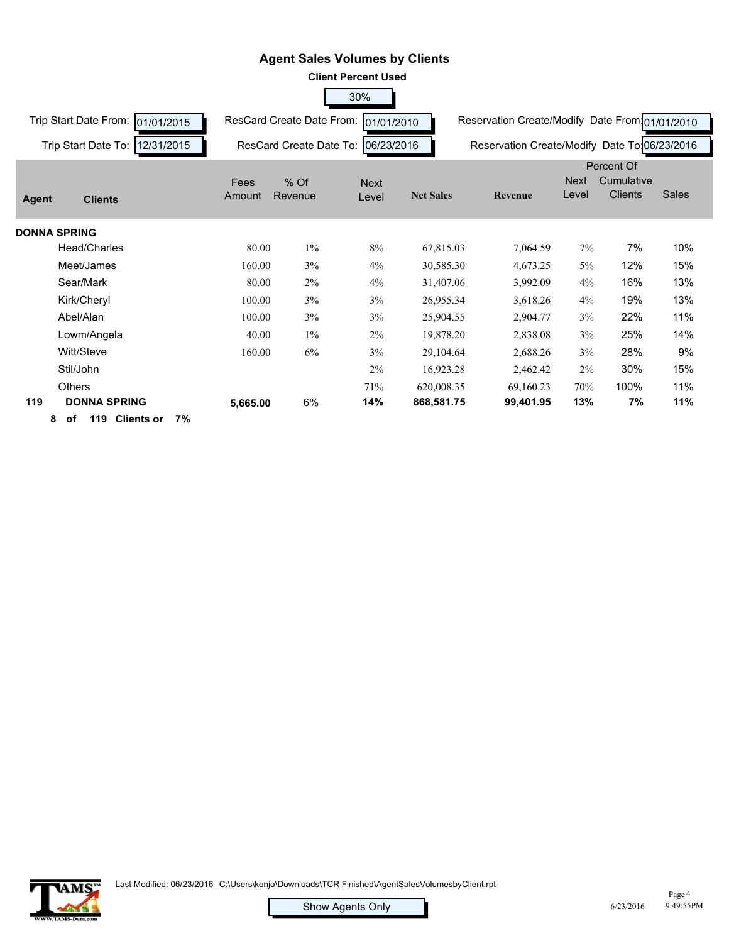|                                     |                |                                      | <b>Client Percent Used</b> |                  |                                                |                      |                              |       |
|-------------------------------------|----------------|--------------------------------------|----------------------------|------------------|------------------------------------------------|----------------------|------------------------------|-------|
|                                     |                |                                      | 30%                        |                  |                                                |                      |                              |       |
| Trip Start Date From:<br>01/01/2015 |                | ResCard Create Date From: 01/01/2010 |                            |                  | Reservation Create/Modify Date From 01/01/2010 |                      |                              |       |
| 12/31/2015<br>Trip Start Date To:   |                | ResCard Create Date To:              | 06/23/2016                 |                  | Reservation Create/Modify Date To 06/23/2016   |                      |                              |       |
|                                     |                |                                      |                            |                  |                                                |                      | Percent Of                   |       |
| <b>Agent</b><br><b>Clients</b>      | Fees<br>Amount | % Of<br>Revenue                      | <b>Next</b><br>Level       | <b>Net Sales</b> | <b>Revenue</b>                                 | <b>Next</b><br>Level | Cumulative<br><b>Clients</b> | Sales |
| <b>DONNA SPRING</b>                 |                |                                      |                            |                  |                                                |                      |                              |       |
| Head/Charles                        | 80.00          | $1\%$                                | 8%                         | 67,815.03        | 7,064.59                                       | 7%                   | 7%                           | 10%   |
| Meet/James                          | 160.00         | 3%                                   | 4%                         | 30,585.30        | 4,673.25                                       | $5\%$                | 12%                          | 15%   |
| Sear/Mark                           | 80.00          | 2%                                   | 4%                         | 31,407.06        | 3,992.09                                       | 4%                   | 16%                          | 13%   |
| Kirk/Cheryl                         | 100.00         | 3%                                   | 3%                         | 26,955.34        | 3,618.26                                       | 4%                   | 19%                          | 13%   |
| Abel/Alan                           | 100.00         | 3%                                   | 3%                         | 25,904.55        | 2,904.77                                       | 3%                   | 22%                          | 11%   |
| Lowm/Angela                         | 40.00          | $1\%$                                | 2%                         | 19,878.20        | 2,838.08                                       | 3%                   | 25%                          | 14%   |
| Witt/Steve                          | 160.00         | 6%                                   | 3%                         | 29,104.64        | 2,688.26                                       | 3%                   | 28%                          | 9%    |
| Stil/John                           |                |                                      | 2%                         | 16,923.28        | 2,462.42                                       | $2\%$                | 30%                          | 15%   |
| <b>Others</b>                       |                |                                      | 71%                        | 620,008.35       | 69,160.23                                      | 70%                  | 100%                         | 11%   |
| 119<br><b>DONNA SPRING</b>          | 5,665.00       | 6%                                   | 14%                        | 868,581.75       | 99,401.95                                      | 13%                  | 7%                           | 11%   |
| 119 Clients or<br>7%<br>8<br>оf     |                |                                      |                            |                  |                                                |                      |                              |       |

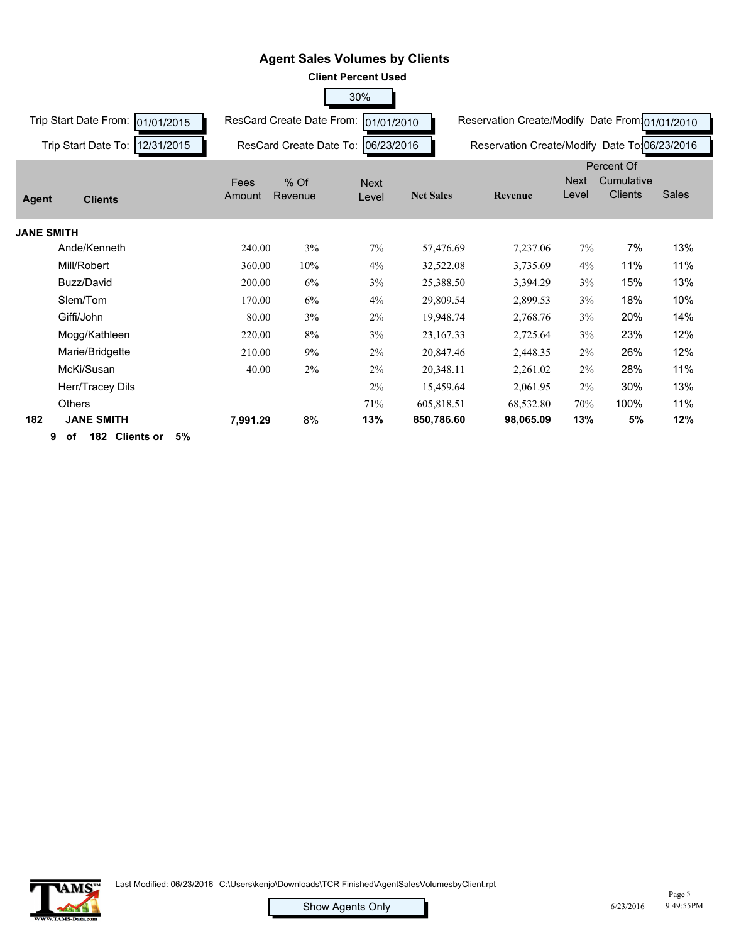|                       |                      |          |                                      | <b>Client Percent Used</b> |                  |                                                |                      |                                            |              |
|-----------------------|----------------------|----------|--------------------------------------|----------------------------|------------------|------------------------------------------------|----------------------|--------------------------------------------|--------------|
|                       |                      |          |                                      | 30%                        |                  |                                                |                      |                                            |              |
| Trip Start Date From: | 01/01/2015           |          | ResCard Create Date From: 01/01/2010 |                            |                  | Reservation Create/Modify Date From 01/01/2010 |                      |                                            |              |
| Trip Start Date To:   | 12/31/2015           |          | ResCard Create Date To:              | 06/23/2016                 |                  | Reservation Create/Modify Date To 06/23/2016   |                      |                                            |              |
|                       |                      | Fees     | % Of                                 | <b>Next</b>                |                  |                                                | <b>Next</b><br>Level | Percent Of<br>Cumulative<br><b>Clients</b> | <b>Sales</b> |
| <b>Agent</b>          | <b>Clients</b>       | Amount   | Revenue                              | Level                      | <b>Net Sales</b> | Revenue                                        |                      |                                            |              |
| <b>JANE SMITH</b>     |                      |          |                                      |                            |                  |                                                |                      |                                            |              |
| Ande/Kenneth          |                      | 240.00   | 3%                                   | 7%                         | 57,476.69        | 7,237.06                                       | 7%                   | 7%                                         | 13%          |
| Mill/Robert           |                      | 360.00   | 10%                                  | 4%                         | 32,522.08        | 3,735.69                                       | 4%                   | 11%                                        | 11%          |
| Buzz/David            |                      | 200.00   | 6%                                   | 3%                         | 25,388.50        | 3,394.29                                       | 3%                   | 15%                                        | 13%          |
| Slem/Tom              |                      | 170.00   | 6%                                   | 4%                         | 29,809.54        | 2,899.53                                       | 3%                   | 18%                                        | 10%          |
| Giffi/John            |                      | 80.00    | 3%                                   | $2\%$                      | 19,948.74        | 2,768.76                                       | 3%                   | 20%                                        | 14%          |
| Mogg/Kathleen         |                      | 220.00   | 8%                                   | 3%                         | 23,167.33        | 2,725.64                                       | 3%                   | 23%                                        | 12%          |
| Marie/Bridgette       |                      | 210.00   | 9%                                   | 2%                         | 20,847.46        | 2,448.35                                       | 2%                   | 26%                                        | 12%          |
| McKi/Susan            |                      | 40.00    | 2%                                   | 2%                         | 20,348.11        | 2,261.02                                       | 2%                   | 28%                                        | 11%          |
|                       | Herr/Tracey Dils     |          |                                      | 2%                         | 15,459.64        | 2,061.95                                       | 2%                   | 30%                                        | 13%          |
| <b>Others</b>         |                      |          |                                      | 71%                        | 605,818.51       | 68,532.80                                      | 70%                  | 100%                                       | 11%          |
| 182                   | <b>JANE SMITH</b>    | 7,991.29 | 8%                                   | 13%                        | 850,786.60       | 98,065.09                                      | 13%                  | 5%                                         | 12%          |
| 9<br>of               | 182 Clients or<br>5% |          |                                      |                            |                  |                                                |                      |                                            |              |

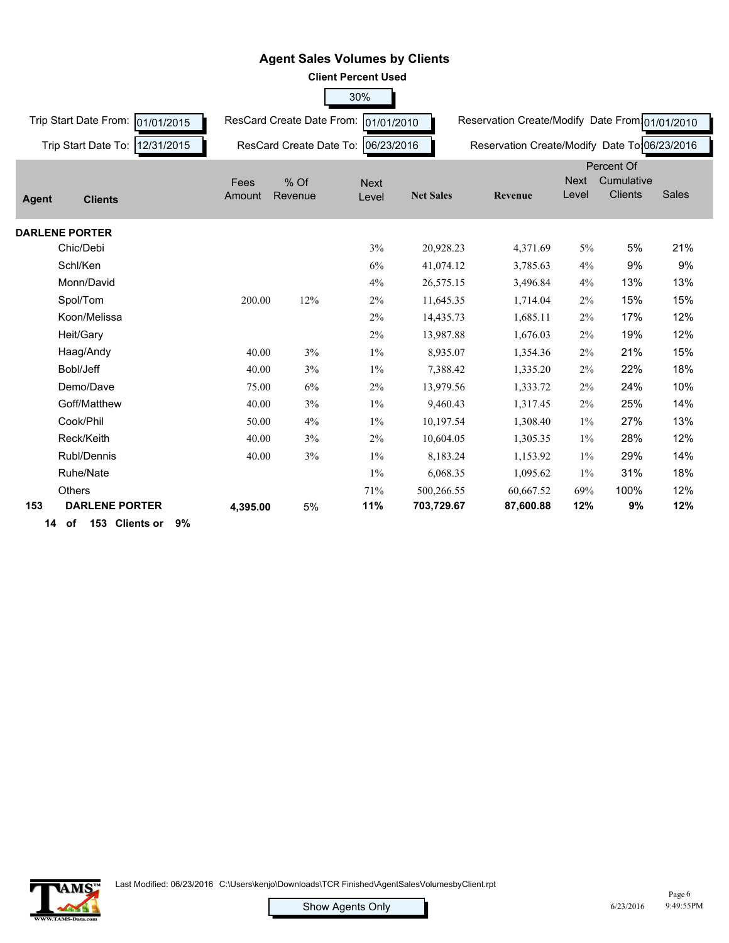

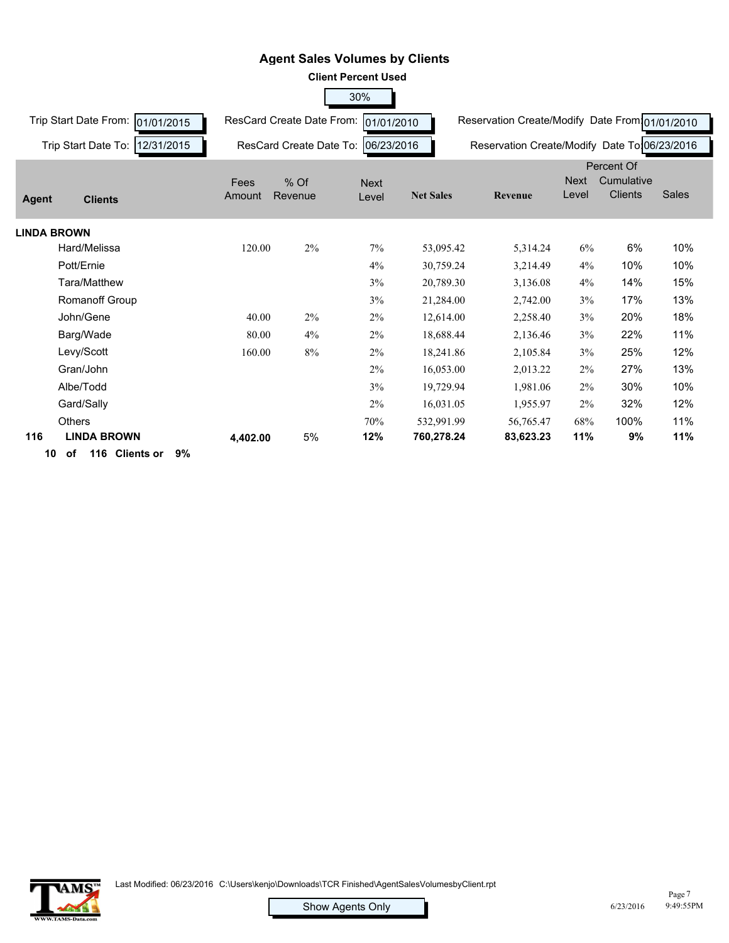| <b>Client Percent Used</b>          |                |                           |                      |                  |                                                |                      |                                            |              |  |
|-------------------------------------|----------------|---------------------------|----------------------|------------------|------------------------------------------------|----------------------|--------------------------------------------|--------------|--|
|                                     |                |                           | 30%                  |                  |                                                |                      |                                            |              |  |
| Trip Start Date From:<br>01/01/2015 |                | ResCard Create Date From: | 01/01/2010           |                  | Reservation Create/Modify Date From 01/01/2010 |                      |                                            |              |  |
| 12/31/2015<br>Trip Start Date To:   |                | ResCard Create Date To:   | 06/23/2016           |                  | Reservation Create/Modify Date To 06/23/2016   |                      |                                            |              |  |
| Agent<br><b>Clients</b>             | Fees<br>Amount | $%$ Of<br>Revenue         | <b>Next</b><br>Level | <b>Net Sales</b> | Revenue                                        | <b>Next</b><br>Level | Percent Of<br>Cumulative<br><b>Clients</b> | <b>Sales</b> |  |
| <b>LINDA BROWN</b>                  |                |                           |                      |                  |                                                |                      |                                            |              |  |
| Hard/Melissa                        | 120.00         | 2%                        | 7%                   | 53,095.42        | 5,314.24                                       | 6%                   | 6%                                         | 10%          |  |
| Pott/Ernie                          |                |                           | 4%                   | 30,759.24        | 3,214.49                                       | 4%                   | 10%                                        | 10%          |  |
| Tara/Matthew                        |                |                           | 3%                   | 20,789.30        | 3,136.08                                       | 4%                   | 14%                                        | 15%          |  |
| <b>Romanoff Group</b>               |                |                           | 3%                   | 21,284.00        | 2,742.00                                       | 3%                   | 17%                                        | 13%          |  |
| John/Gene                           | 40.00          | 2%                        | 2%                   | 12,614.00        | 2,258.40                                       | 3%                   | 20%                                        | 18%          |  |
| Barg/Wade                           | 80.00          | 4%                        | 2%                   | 18,688.44        | 2,136.46                                       | 3%                   | 22%                                        | 11%          |  |
| Levy/Scott                          | 160.00         | 8%                        | 2%                   | 18,241.86        | 2,105.84                                       | 3%                   | 25%                                        | 12%          |  |
| Gran/John                           |                |                           | 2%                   | 16,053.00        | 2,013.22                                       | 2%                   | 27%                                        | 13%          |  |
| Albe/Todd                           |                |                           | 3%                   | 19,729.94        | 1,981.06                                       | $2\%$                | 30%                                        | 10%          |  |
| Gard/Sally                          |                |                           | 2%                   | 16,031.05        | 1,955.97                                       | $2\%$                | 32%                                        | 12%          |  |
| Others                              |                |                           | 70%                  | 532,991.99       | 56,765.47                                      | 68%                  | 100%                                       | 11%          |  |
| 116<br><b>LINDA BROWN</b>           | 4,402.00       | 5%                        | 12%                  | 760,278.24       | 83,623.23                                      | 11%                  | 9%                                         | 11%          |  |
| 116 Clients or<br>9%<br>10<br>оf    |                |                           |                      |                  |                                                |                      |                                            |              |  |

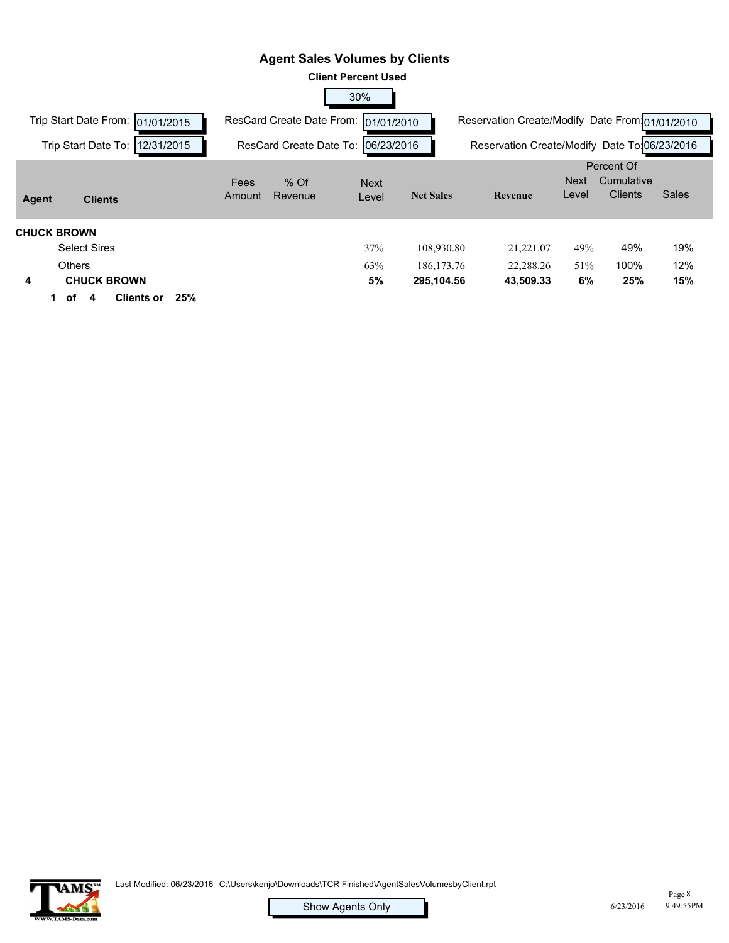|                                                             | <b>Agent Sales Volumes by Clients</b> |                            |                            |                                                |               |                                            |            |
|-------------------------------------------------------------|---------------------------------------|----------------------------|----------------------------|------------------------------------------------|---------------|--------------------------------------------|------------|
|                                                             |                                       | <b>Client Percent Used</b> |                            |                                                |               |                                            |            |
|                                                             |                                       | 30%                        |                            |                                                |               |                                            |            |
| Trip Start Date From:<br>01/01/2015                         | ResCard Create Date From:             | 01/01/2010                 |                            | Reservation Create/Modify Date From 01/01/2010 |               |                                            |            |
| Trip Start Date To:<br>12/31/2015                           | ResCard Create Date To:               | 06/23/2016                 |                            | Reservation Create/Modify Date To 06/23/2016   |               |                                            |            |
| Agent<br><b>Clients</b>                                     | $%$ Of<br>Fees<br>Revenue<br>Amount   | <b>Next</b><br>Level       | <b>Net Sales</b>           | Revenue                                        | Next<br>Level | Percent Of<br>Cumulative<br><b>Clients</b> | Sales      |
| <b>CHUCK BROWN</b><br><b>Select Sires</b><br><b>Others</b>  |                                       | 37%<br>63%                 | 108,930.80<br>186, 173. 76 | 21,221.07<br>22,288.26                         | 49%<br>51%    | 49%<br>100%                                | 19%<br>12% |
| <b>CHUCK BROWN</b><br>4<br>25%<br><b>Clients or</b><br>of 4 |                                       | 5%                         | 295,104.56                 | 43,509.33                                      | 6%            | 25%                                        | 15%        |

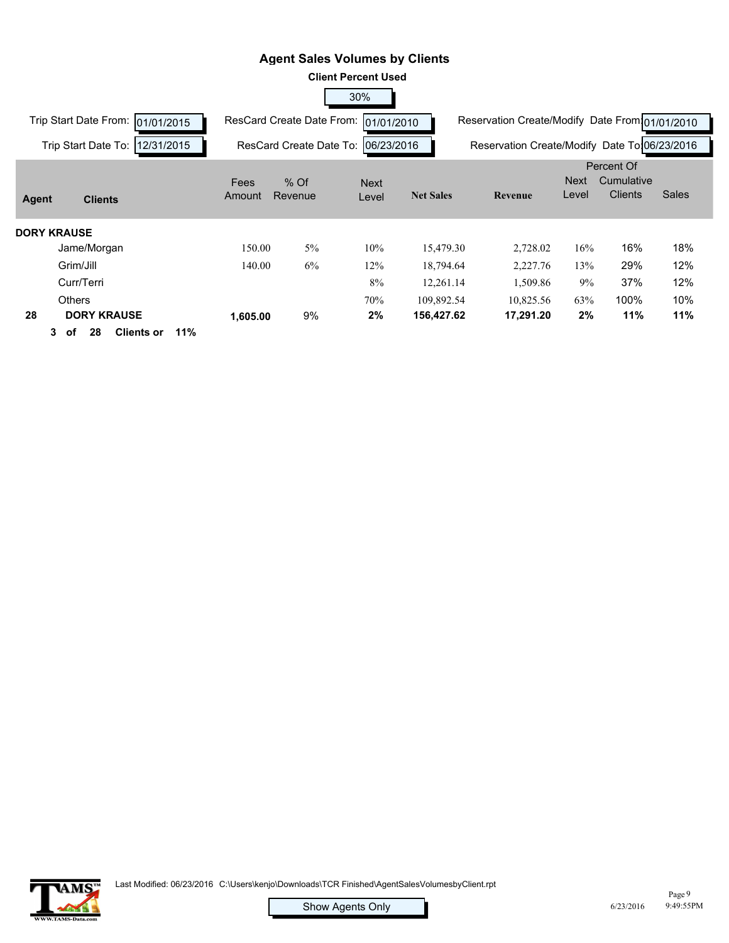|                                           |          |                                  | <b>Client Percent Used</b> |                  |                                                |             |                |       |
|-------------------------------------------|----------|----------------------------------|----------------------------|------------------|------------------------------------------------|-------------|----------------|-------|
|                                           |          |                                  | 30%                        |                  |                                                |             |                |       |
| Trip Start Date From:<br>01/01/2015       |          | <b>ResCard Create Date From:</b> | 01/01/2010                 |                  | Reservation Create/Modify Date From 01/01/2010 |             |                |       |
| 12/31/2015<br>Trip Start Date To:         |          | ResCard Create Date To:          | 06/23/2016                 |                  | Reservation Create/Modify Date To:06/23/2016   |             |                |       |
|                                           |          |                                  |                            |                  |                                                |             | Percent Of     |       |
|                                           | Fees     | $%$ Of                           | <b>Next</b>                |                  |                                                | <b>Next</b> | Cumulative     |       |
| Agent<br><b>Clients</b>                   | Amount   | Revenue                          | Level                      | <b>Net Sales</b> | Revenue                                        | Level       | <b>Clients</b> | Sales |
|                                           |          |                                  |                            |                  |                                                |             |                |       |
| <b>DORY KRAUSE</b>                        |          |                                  |                            |                  |                                                |             |                |       |
| Jame/Morgan                               | 150.00   | 5%                               | 10%                        | 15,479.30        | 2,728.02                                       | 16%         | 16%            | 18%   |
| Grim/Jill                                 | 140.00   | 6%                               | 12%                        | 18,794.64        | 2,227.76                                       | 13%         | 29%            | 12%   |
| Curr/Terri                                |          |                                  | 8%                         | 12,261.14        | 1,509.86                                       | 9%          | 37%            | 12%   |
| <b>Others</b>                             |          |                                  | 70%                        | 109,892.54       | 10,825.56                                      | 63%         | 100%           | 10%   |
| 28<br><b>DORY KRAUSE</b>                  | 1,605.00 | 9%                               | 2%                         | 156,427.62       | 17,291.20                                      | 2%          | 11%            | 11%   |
| 11%<br><b>Clients or</b><br>28<br>3<br>оf |          |                                  |                            |                  |                                                |             |                |       |

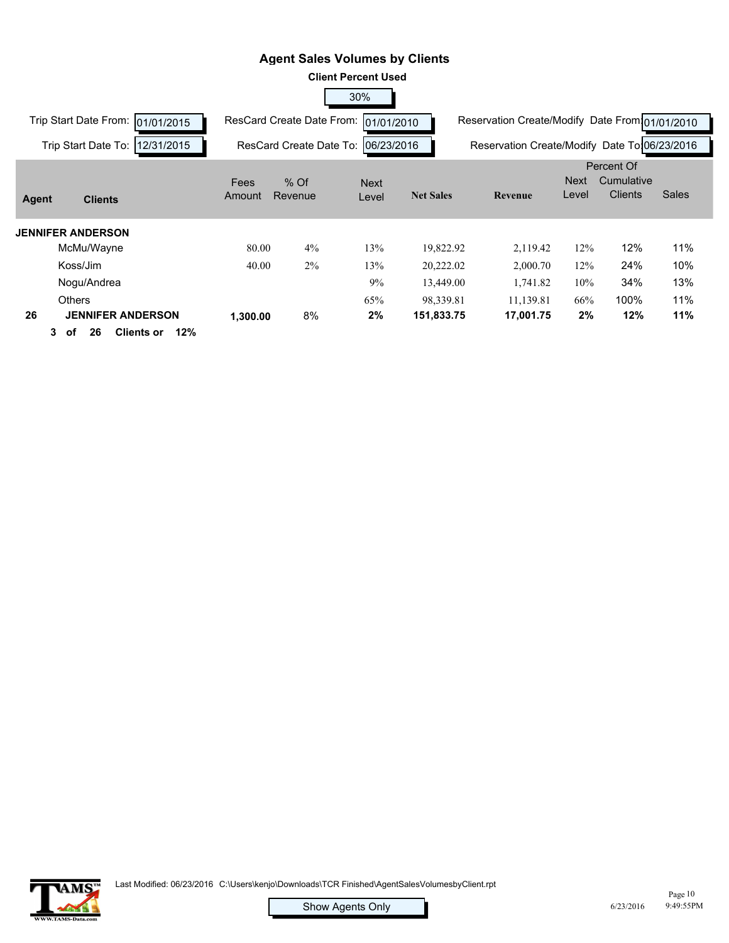|                                            |          |                                  | <b>Client Percent Used</b> |                  |                                                |             |                |       |
|--------------------------------------------|----------|----------------------------------|----------------------------|------------------|------------------------------------------------|-------------|----------------|-------|
|                                            |          |                                  | 30%                        |                  |                                                |             |                |       |
| Trip Start Date From:<br>01/01/2015        |          | <b>ResCard Create Date From:</b> | 01/01/2010                 |                  | Reservation Create/Modify Date From 01/01/2010 |             |                |       |
| 12/31/2015<br>Trip Start Date To:          |          | ResCard Create Date To:          | 06/23/2016                 |                  | Reservation Create/Modify Date To 06/23/2016   |             |                |       |
|                                            |          |                                  |                            |                  |                                                |             | Percent Of     |       |
|                                            | Fees     | $%$ Of                           | <b>Next</b>                |                  |                                                | <b>Next</b> | Cumulative     |       |
| Agent<br><b>Clients</b>                    | Amount   | Revenue                          | Level                      | <b>Net Sales</b> | Revenue                                        | Level       | <b>Clients</b> | Sales |
| <b>JENNIFER ANDERSON</b>                   |          |                                  |                            |                  |                                                |             |                |       |
| McMu/Wayne                                 | 80.00    | 4%                               | 13%                        | 19,822.92        | 2,119.42                                       | 12%         | 12%            | 11%   |
| Koss/Jim                                   | 40.00    | 2%                               | 13%                        | 20,222.02        | 2,000.70                                       | 12%         | 24%            | 10%   |
| Nogu/Andrea                                |          |                                  | 9%                         | 13,449.00        | 1,741.82                                       | 10%         | 34%            | 13%   |
| <b>Others</b>                              |          |                                  | 65%                        | 98,339.81        | 11,139.81                                      | 66%         | 100%           | 11%   |
| 26<br><b>JENNIFER ANDERSON</b>             | 1,300.00 | 8%                               | 2%                         | 151,833.75       | 17,001.75                                      | 2%          | 12%            | 11%   |
| 12%<br>3.<br>26<br><b>Clients or</b><br>оf |          |                                  |                            |                  |                                                |             |                |       |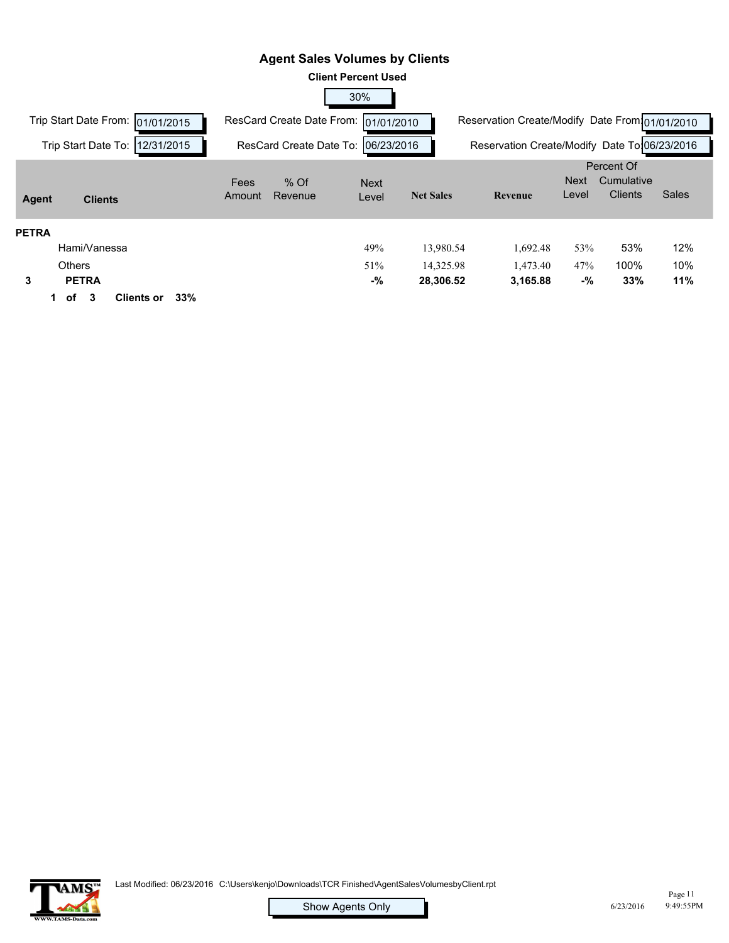#### **Client Percent Used** 30% **Agent Sales Volumes by Clients** Trip Start Date From: 01/01/2015 Trip Start Date To: 12/31/2015 ResCard Create Date From: 01/01/2010 ResCard Create Date To: 06/23/2016 Reservation Create/Modify Date From 01/01/2010 Reservation Create/Modify Date To:06/23/2016 **Net Sales Revenue** Next Level Percent Of **Cumulative** Clients Sales **Agent Clients** Amount Revenue Next Level Fees % Of **PETRA** Hami/Vanessa 49% 13,980.54 1,692.48 53% 53% 6,359,458.42 **13,980.54** 0.00 **1,692.48** 754,709.75 12% 0.00 Others 51% 14,325.98 1,473.40 47% 100% 6,373,784.40 **14,325.98** 0.00 **1,473.40** 756,183.15 10% 0.00  **3 PETRA -% 28,306.52 3,165.88 -% 33% 11% 1 of 3 Clients or 33%**

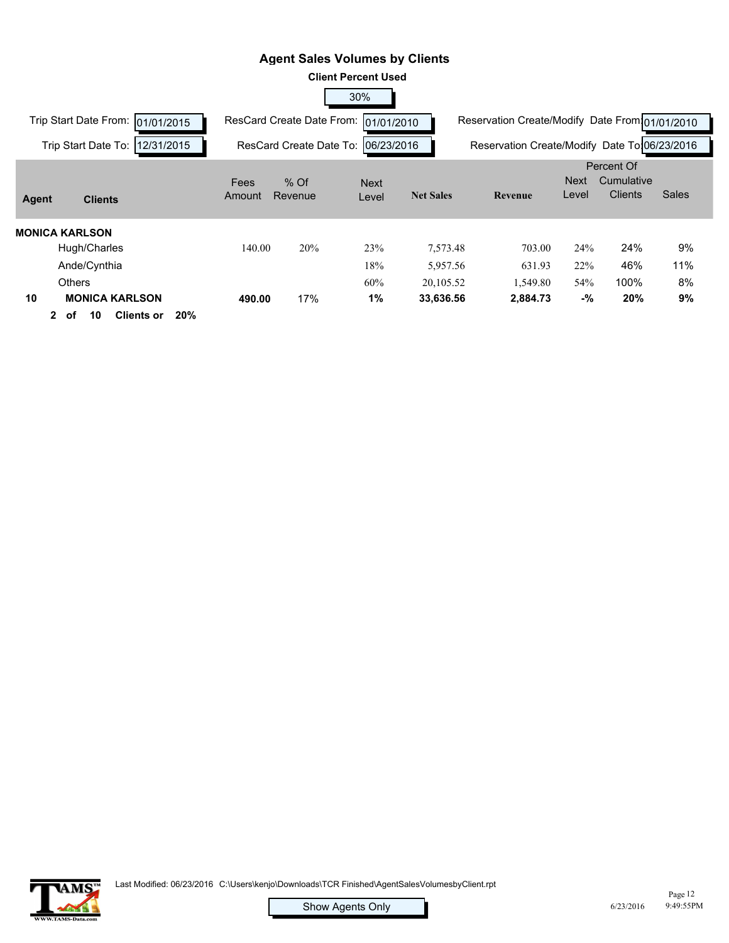|                                                                                                      |                |                           | <b>Client Percent Used</b> |                        |                                                |                      |                                            |              |
|------------------------------------------------------------------------------------------------------|----------------|---------------------------|----------------------------|------------------------|------------------------------------------------|----------------------|--------------------------------------------|--------------|
|                                                                                                      |                |                           | 30%                        |                        |                                                |                      |                                            |              |
| Trip Start Date From:<br>01/01/2015                                                                  |                | ResCard Create Date From: | 01/01/2010                 |                        | Reservation Create/Modify Date From 01/01/2010 |                      |                                            |              |
| 12/31/2015<br>Trip Start Date To:                                                                    |                | ResCard Create Date To:   | 06/23/2016                 |                        | Reservation Create/Modify Date To:06/23/2016   |                      |                                            |              |
| Agent<br><b>Clients</b>                                                                              | Fees<br>Amount | $%$ Of<br>Revenue         | <b>Next</b><br>Level       | <b>Net Sales</b>       | Revenue                                        | <b>Next</b><br>Level | Percent Of<br>Cumulative<br><b>Clients</b> | <b>Sales</b> |
| MONICA KARLSON<br>Hugh/Charles<br>Ande/Cynthia                                                       | 140.00         | 20%                       | 23%<br>18%                 | 7,573.48<br>5,957.56   | 703.00<br>631.93                               | 24%<br>22%           | 24%<br>46%                                 | 9%<br>11%    |
| <b>Others</b><br>10<br><b>MONICA KARLSON</b><br>20%<br><b>Clients or</b><br>10<br>$\mathbf{2}$<br>оf | 490.00         | 17%                       | 60%<br>1%                  | 20,105.52<br>33,636.56 | 1,549.80<br>2,884.73                           | 54%<br>-%            | 100%<br>20%                                | 8%<br>9%     |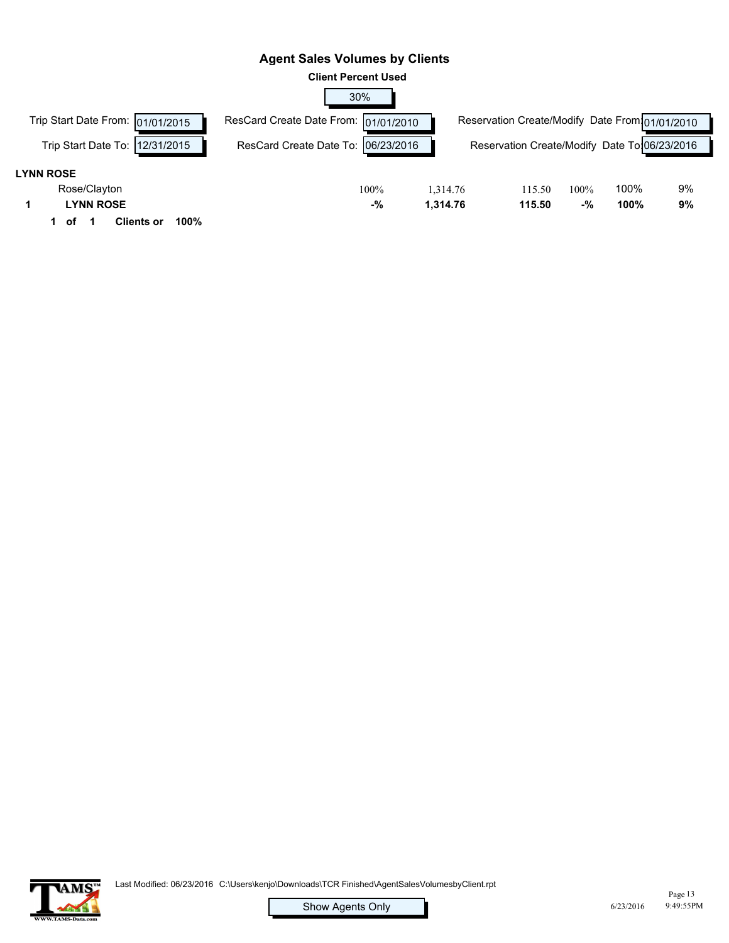